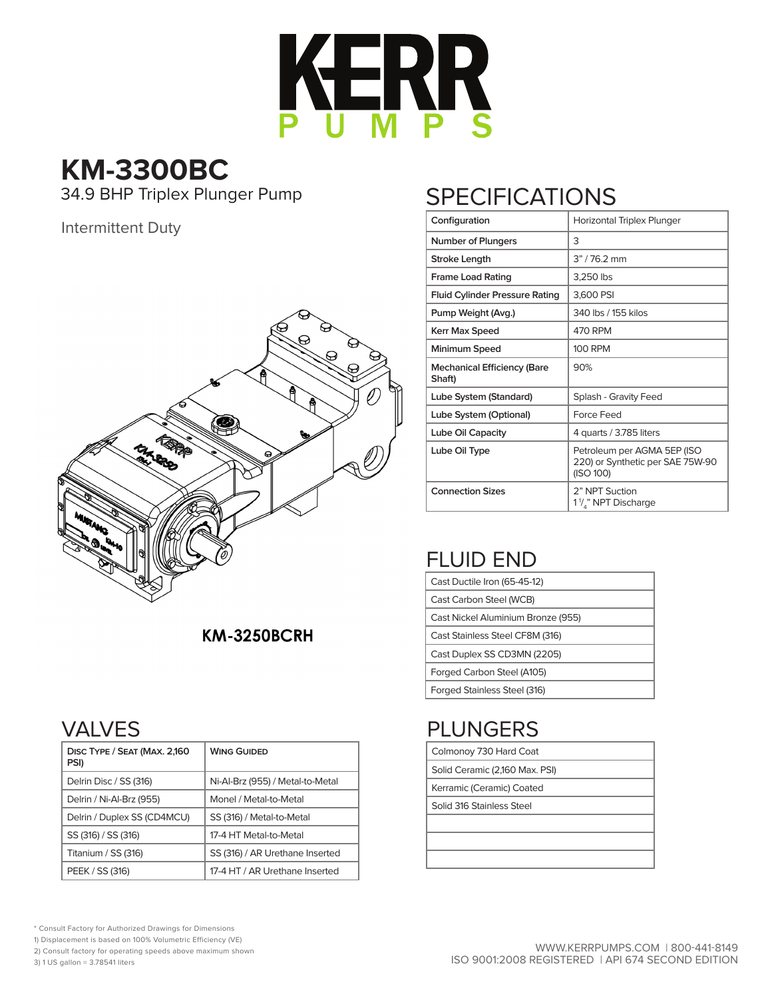

**KM-3300BC**<br>34.9 BHP Triplex Plunger Pump

#### Intermittent Duty



### **KM-3250BCRH**

## VALVES

| DISC TYPE / SEAT (MAX. 2,160<br>PSI) | <b>WING GUIDED</b>               |
|--------------------------------------|----------------------------------|
| Delrin Disc / SS (316)               | Ni-Al-Brz (955) / Metal-to-Metal |
| Delrin / Ni-Al-Brz (955)             | Monel / Metal-to-Metal           |
| Delrin / Duplex SS (CD4MCU)          | SS (316) / Metal-to-Metal        |
| SS (316) / SS (316)                  | 17-4 HT Metal-to-Metal           |
| Titanium / SS (316)                  | SS (316) / AR Urethane Inserted  |
| PEEK / SS (316)                      | 17-4 HT / AR Urethane Inserted   |

# **SPECIFICATIONS**

| Configuration                                | Horizontal Triplex Plunger                                                   |  |  |  |  |  |  |  |  |
|----------------------------------------------|------------------------------------------------------------------------------|--|--|--|--|--|--|--|--|
| <b>Number of Plungers</b>                    | 3                                                                            |  |  |  |  |  |  |  |  |
| <b>Stroke Length</b>                         | $3" / 76.2$ mm                                                               |  |  |  |  |  |  |  |  |
| <b>Frame Load Rating</b>                     | 3,250 lbs                                                                    |  |  |  |  |  |  |  |  |
| <b>Fluid Cylinder Pressure Rating</b>        | 3,600 PSI                                                                    |  |  |  |  |  |  |  |  |
| Pump Weight (Avg.)                           | 340 lbs / 155 kilos                                                          |  |  |  |  |  |  |  |  |
| Kerr Max Speed                               | 470 RPM                                                                      |  |  |  |  |  |  |  |  |
| Minimum Speed                                | 100 RPM                                                                      |  |  |  |  |  |  |  |  |
| <b>Mechanical Efficiency (Bare</b><br>Shaft) | 90%                                                                          |  |  |  |  |  |  |  |  |
| Lube System (Standard)                       | Splash - Gravity Feed                                                        |  |  |  |  |  |  |  |  |
| Lube System (Optional)                       | Force Feed                                                                   |  |  |  |  |  |  |  |  |
| Lube Oil Capacity                            | 4 quarts / 3.785 liters                                                      |  |  |  |  |  |  |  |  |
| Lube Oil Type                                | Petroleum per AGMA 5EP (ISO<br>220) or Synthetic per SAE 75W-90<br>(ISO 100) |  |  |  |  |  |  |  |  |
| <b>Connection Sizes</b>                      | 2" NPT Suction<br>1 <sup>1</sup> /," NPT Discharge                           |  |  |  |  |  |  |  |  |

# FLUID END

| Cast Ductile Iron (65-45-12)       |  |  |  |  |  |  |
|------------------------------------|--|--|--|--|--|--|
| Cast Carbon Steel (WCB)            |  |  |  |  |  |  |
| Cast Nickel Aluminium Bronze (955) |  |  |  |  |  |  |
| Cast Stainless Steel CF8M (316)    |  |  |  |  |  |  |
| Cast Duplex SS CD3MN (2205)        |  |  |  |  |  |  |
| Forged Carbon Steel (A105)         |  |  |  |  |  |  |
| Forged Stainless Steel (316)       |  |  |  |  |  |  |

# PLUNGERS

| Colmonoy 730 Hard Coat         |
|--------------------------------|
| Solid Ceramic (2,160 Max. PSI) |

Kerramic (Ceramic) Coated

Solid 316 Stainless Steel

- \* Consult Factory for Authorized Drawings for Dimensions
- 1) Displacement is based on 100% Volumetric Efficiency (VE)
- 2) Consult factory for operating speeds above maximum shown

3) 1 US gallon = 3.78541 liters